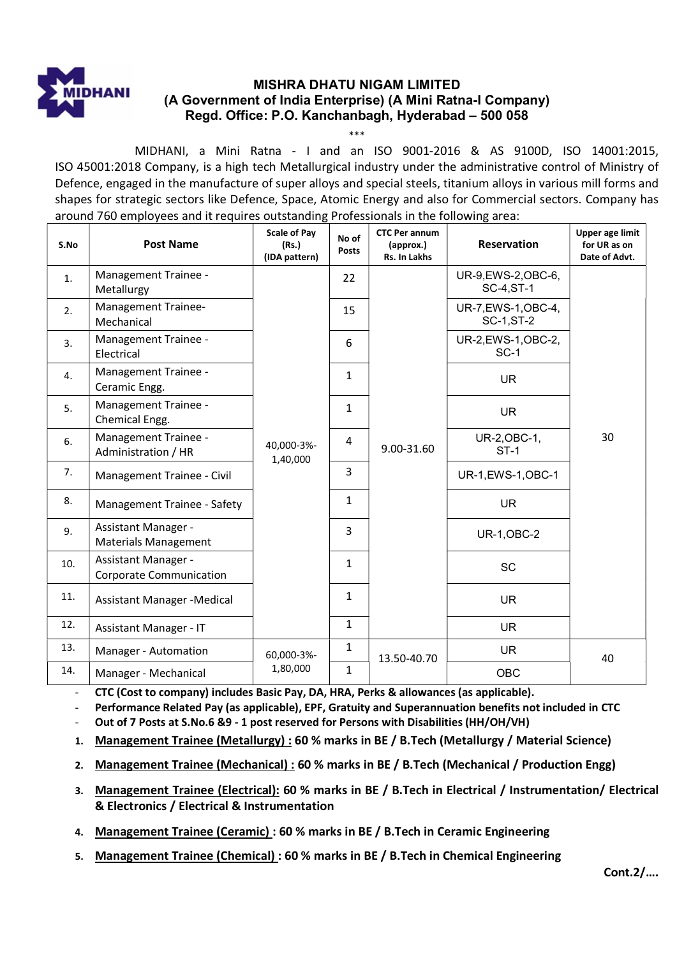

# MISHRA DHATU NIGAM LIMITED (A Government of India Enterprise) (A Mini Ratna-I Company) Regd. Office: P.O. Kanchanbagh, Hyderabad – 500 058

\*\*\* MIDHANI, a Mini Ratna - I and an ISO 9001-2016 & AS 9100D, ISO 14001:2015, ISO 45001:2018 Company, is a high tech Metallurgical industry under the administrative control of Ministry of Defence, engaged in the manufacture of super alloys and special steels, titanium alloys in various mill forms and shapes for strategic sectors like Defence, Space, Atomic Energy and also for Commercial sectors. Company has around 760 employees and it requires outstanding Professionals in the following area:

| S.No | <b>Post Name</b>                                             | <b>Scale of Pay</b><br>(Rs.)<br>(IDA pattern) | No of<br><b>Posts</b> | <b>CTC Per annum</b><br>(approx.)<br>Rs. In Lakhs | <b>Reservation</b>                       | <b>Upper age limit</b><br>for UR as on<br>Date of Advt. |
|------|--------------------------------------------------------------|-----------------------------------------------|-----------------------|---------------------------------------------------|------------------------------------------|---------------------------------------------------------|
| 1.   | Management Trainee -<br>Metallurgy                           | 40,000-3%-<br>1,40,000                        | 22                    | 9.00-31.60                                        | UR-9, EWS-2, OBC-6,<br><b>SC-4, ST-1</b> |                                                         |
| 2.   | Management Trainee-<br>Mechanical                            |                                               | 15                    |                                                   | UR-7, EWS-1, OBC-4,<br><b>SC-1, ST-2</b> |                                                         |
| 3.   | Management Trainee -<br>Electrical                           |                                               | 6                     |                                                   | UR-2, EWS-1, OBC-2,<br>$SC-1$            |                                                         |
| 4.   | Management Trainee -<br>Ceramic Engg.                        |                                               | $\mathbf{1}$          |                                                   | <b>UR</b>                                |                                                         |
| 5.   | Management Trainee -<br>Chemical Engg.                       |                                               | $\mathbf{1}$          |                                                   | <b>UR</b>                                |                                                         |
| 6.   | Management Trainee -<br>Administration / HR                  |                                               | 4                     |                                                   | UR-2, OBC-1,<br>$ST-1$                   | 30                                                      |
| 7.   | Management Trainee - Civil                                   |                                               | 3                     |                                                   | UR-1, EWS-1, OBC-1                       |                                                         |
| 8.   | Management Trainee - Safety                                  |                                               | $\mathbf{1}$          |                                                   | <b>UR</b>                                |                                                         |
| 9.   | <b>Assistant Manager -</b><br><b>Materials Management</b>    |                                               | 3                     |                                                   | <b>UR-1, OBC-2</b>                       |                                                         |
| 10.  | <b>Assistant Manager -</b><br><b>Corporate Communication</b> |                                               | $\mathbf{1}$          |                                                   | SC                                       |                                                         |
| 11.  | Assistant Manager - Medical                                  |                                               | $\mathbf{1}$          |                                                   | <b>UR</b>                                |                                                         |
| 12.  | <b>Assistant Manager - IT</b>                                |                                               | $\mathbf{1}$          |                                                   | <b>UR</b>                                |                                                         |
| 13.  | Manager - Automation                                         | 60,000-3%-<br>1,80,000                        | $\mathbf{1}$          | 13.50-40.70                                       | <b>UR</b>                                | 40                                                      |
| 14.  | Manager - Mechanical                                         |                                               | $\mathbf{1}$          |                                                   | OBC                                      |                                                         |

- CTC (Cost to company) includes Basic Pay, DA, HRA, Perks & allowances (as applicable).

Performance Related Pay (as applicable), EPF, Gratuity and Superannuation benefits not included in CTC

Out of 7 Posts at S.No.6 &9 - 1 post reserved for Persons with Disabilities (HH/OH/VH)

1. Management Trainee (Metallurgy) : 60 % marks in BE / B.Tech (Metallurgy / Material Science)

2. Management Trainee (Mechanical) : 60 % marks in BE / B.Tech (Mechanical / Production Engg)

- 3. Management Trainee (Electrical): 60 % marks in BE / B.Tech in Electrical / Instrumentation/ Electrical & Electronics / Electrical & Instrumentation
- 4. Management Trainee (Ceramic) : 60 % marks in BE / B.Tech in Ceramic Engineering
- 5. Management Trainee (Chemical) : 60 % marks in BE / B.Tech in Chemical Engineering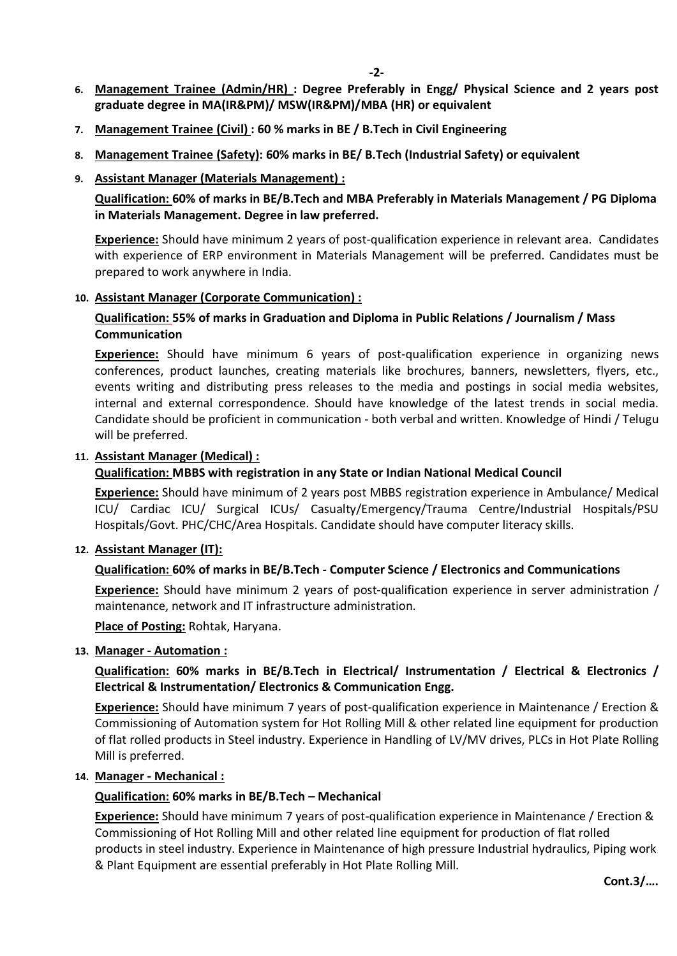- 6. Management Trainee (Admin/HR) : Degree Preferably in Engg/ Physical Science and 2 years post graduate degree in MA(IR&PM)/ MSW(IR&PM)/MBA (HR) or equivalent
- 7. Management Trainee (Civil) : 60 % marks in BE / B.Tech in Civil Engineering
- 8. Management Trainee (Safety): 60% marks in BE/ B.Tech (Industrial Safety) or equivalent
- 9. Assistant Manager (Materials Management) :

Qualification: 60% of marks in BE/B.Tech and MBA Preferably in Materials Management / PG Diploma in Materials Management. Degree in law preferred.

Experience: Should have minimum 2 years of post-qualification experience in relevant area. Candidates with experience of ERP environment in Materials Management will be preferred. Candidates must be prepared to work anywhere in India.

### 10. Assistant Manager (Corporate Communication) :

### Qualification: 55% of marks in Graduation and Diploma in Public Relations / Journalism / Mass Communication

Experience: Should have minimum 6 years of post-qualification experience in organizing news conferences, product launches, creating materials like brochures, banners, newsletters, flyers, etc., events writing and distributing press releases to the media and postings in social media websites, internal and external correspondence. Should have knowledge of the latest trends in social media. Candidate should be proficient in communication - both verbal and written. Knowledge of Hindi / Telugu will be preferred.

#### 11. Assistant Manager (Medical) :

## Qualification: MBBS with registration in any State or Indian National Medical Council

Experience: Should have minimum of 2 years post MBBS registration experience in Ambulance/ Medical ICU/ Cardiac ICU/ Surgical ICUs/ Casualty/Emergency/Trauma Centre/Industrial Hospitals/PSU Hospitals/Govt. PHC/CHC/Area Hospitals. Candidate should have computer literacy skills.

#### 12. Assistant Manager (IT):

## Qualification: 60% of marks in BE/B.Tech - Computer Science / Electronics and Communications

Experience: Should have minimum 2 years of post-qualification experience in server administration / maintenance, network and IT infrastructure administration.

Place of Posting: Rohtak, Haryana.

#### 13. Manager - Automation :

## Qualification: 60% marks in BE/B.Tech in Electrical/ Instrumentation / Electrical & Electronics / Electrical & Instrumentation/ Electronics & Communication Engg.

Experience: Should have minimum 7 years of post-qualification experience in Maintenance / Erection & Commissioning of Automation system for Hot Rolling Mill & other related line equipment for production of flat rolled products in Steel industry. Experience in Handling of LV/MV drives, PLCs in Hot Plate Rolling Mill is preferred.

#### 14. Manager - Mechanical :

## Qualification: 60% marks in BE/B.Tech – Mechanical

Experience: Should have minimum 7 years of post-qualification experience in Maintenance / Erection & Commissioning of Hot Rolling Mill and other related line equipment for production of flat rolled products in steel industry. Experience in Maintenance of high pressure Industrial hydraulics, Piping work & Plant Equipment are essential preferably in Hot Plate Rolling Mill.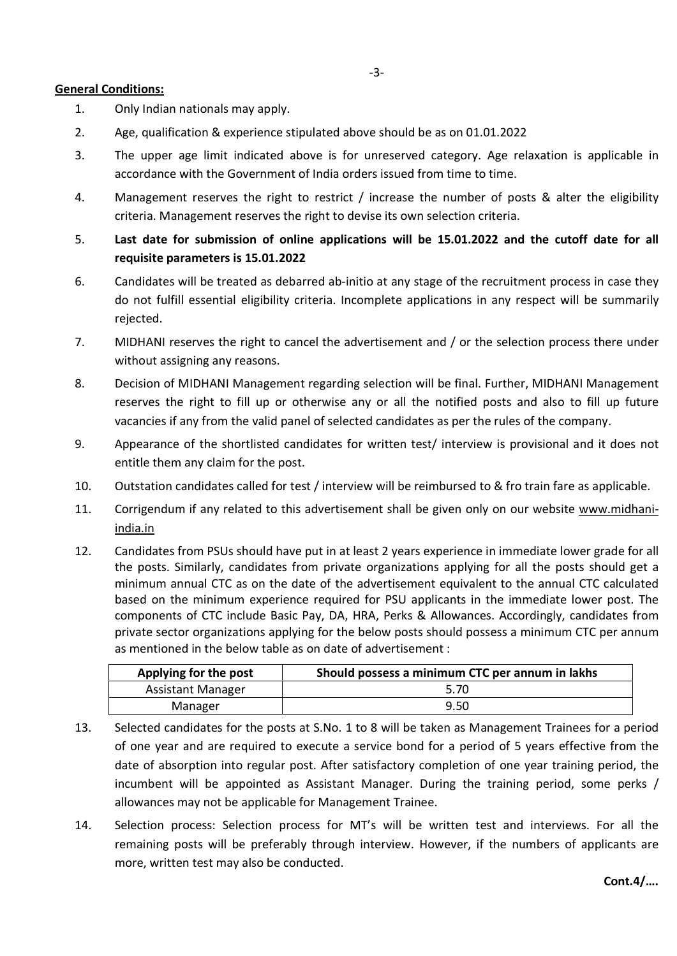#### General Conditions:

- 1. Only Indian nationals may apply.
- 2. Age, qualification & experience stipulated above should be as on 01.01.2022
- 3. The upper age limit indicated above is for unreserved category. Age relaxation is applicable in accordance with the Government of India orders issued from time to time.
- 4. Management reserves the right to restrict / increase the number of posts & alter the eligibility criteria. Management reserves the right to devise its own selection criteria.
- 5. Last date for submission of online applications will be 15.01.2022 and the cutoff date for all requisite parameters is 15.01.2022
- 6. Candidates will be treated as debarred ab-initio at any stage of the recruitment process in case they do not fulfill essential eligibility criteria. Incomplete applications in any respect will be summarily rejected.
- 7. MIDHANI reserves the right to cancel the advertisement and / or the selection process there under without assigning any reasons.
- 8. Decision of MIDHANI Management regarding selection will be final. Further, MIDHANI Management reserves the right to fill up or otherwise any or all the notified posts and also to fill up future vacancies if any from the valid panel of selected candidates as per the rules of the company.
- 9. Appearance of the shortlisted candidates for written test/ interview is provisional and it does not entitle them any claim for the post.
- 10. Outstation candidates called for test / interview will be reimbursed to & fro train fare as applicable.
- 11. Corrigendum if any related to this advertisement shall be given only on our website www.midhaniindia.in
- 12. Candidates from PSUs should have put in at least 2 years experience in immediate lower grade for all the posts. Similarly, candidates from private organizations applying for all the posts should get a minimum annual CTC as on the date of the advertisement equivalent to the annual CTC calculated based on the minimum experience required for PSU applicants in the immediate lower post. The components of CTC include Basic Pay, DA, HRA, Perks & Allowances. Accordingly, candidates from private sector organizations applying for the below posts should possess a minimum CTC per annum as mentioned in the below table as on date of advertisement :

| Applying for the post    | Should possess a minimum CTC per annum in lakhs |
|--------------------------|-------------------------------------------------|
| <b>Assistant Manager</b> | 5.70                                            |
| Manager                  | 9.50                                            |

- 13. Selected candidates for the posts at S.No. 1 to 8 will be taken as Management Trainees for a period of one year and are required to execute a service bond for a period of 5 years effective from the date of absorption into regular post. After satisfactory completion of one year training period, the incumbent will be appointed as Assistant Manager. During the training period, some perks / allowances may not be applicable for Management Trainee.
- 14. Selection process: Selection process for MT's will be written test and interviews. For all the remaining posts will be preferably through interview. However, if the numbers of applicants are more, written test may also be conducted.